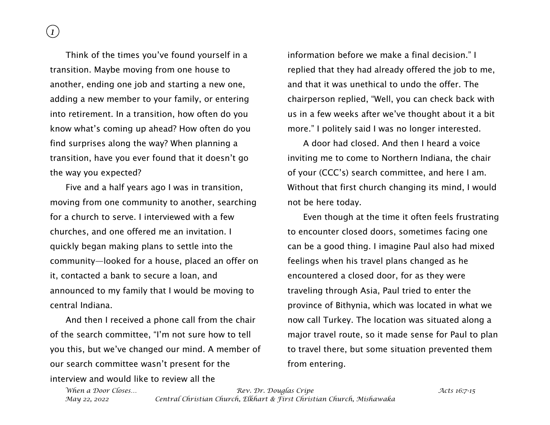Think of the times you've found yourself in a transition. Maybe moving from one house to another, ending one job and starting a new one, adding a new member to your family, or entering into retirement. In a transition, how often do you know what's coming up ahead? How often do you find surprises along the way? When planning a transition, have you ever found that it doesn't go the way you expected?

Five and a half years ago I was in transition, moving from one community to another, searching for a church to serve. I interviewed with a few churches, and one offered me an invitation. I quickly began making plans to settle into the community—looked for a house, placed an offer on it, contacted a bank to secure a loan, and announced to my family that I would be moving to central Indiana.

And then I received a phone call from the chair of the search committee, "I'm not sure how to tell you this, but we've changed our mind. A member of our search committee wasn't present for the interview and would like to review all the

information before we make a final decision." I replied that they had already offered the job to me, and that it was unethical to undo the offer. The chairperson replied, "Well, you can check back with us in a few weeks after we've thought about it a bit more." I politely said I was no longer interested.

A door had closed. And then I heard a voice inviting me to come to Northern Indiana, the chair of your (CCC's) search committee, and here I am. Without that first church changing its mind, I would not be here today.

Even though at the time it often feels frustrating to encounter closed doors, sometimes facing one can be a good thing. I imagine Paul also had mixed feelings when his travel plans changed as he encountered a closed door, for as they were traveling through Asia, Paul tried to enter the province of Bithynia, which was located in what we now call Turkey. The location was situated along a major travel route, so it made sense for Paul to plan to travel there, but some situation prevented them from entering.

*When a Door Closes… Rev. Dr. Douglas Cripe Acts 16:7-15 May 22, 2022 Central Christian Church, Elkhart & First Christian Church, Mishawaka*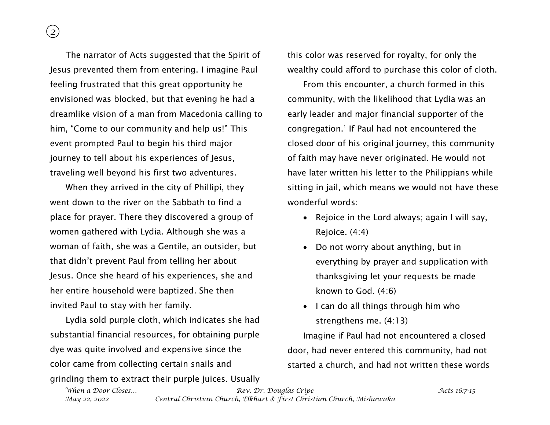*2*

The narrator of Acts suggested that the Spirit of Jesus prevented them from entering. I imagine Paul feeling frustrated that this great opportunity he envisioned was blocked, but that evening he had a dreamlike vision of a man from Macedonia calling to him, "Come to our community and help us!" This event prompted Paul to begin his third major journey to tell about his experiences of Jesus, traveling well beyond his first two adventures.

When they arrived in the city of Phillipi, they went down to the river on the Sabbath to find a place for prayer. There they discovered a group of women gathered with Lydia. Although she was a woman of faith, she was a Gentile, an outsider, but that didn't prevent Paul from telling her about Jesus. Once she heard of his experiences, she and her entire household were baptized. She then invited Paul to stay with her family.

Lydia sold purple cloth, which indicates she had substantial financial resources, for obtaining purple dye was quite involved and expensive since the color came from collecting certain snails and grinding them to extract their purple juices. Usually this color was reserved for royalty, for only the wealthy could afford to purchase this color of cloth.

From this encounter, a church formed in this community, with the likelihood that Lydia was an early leader and major financial supporter of the congregation.<sup>1</sup> If Paul had not encountered the closed door of his original journey, this community of faith may have never originated. He would not have later written his letter to the Philippians while sitting in jail, which means we would not have these wonderful words:

- Rejoice in the Lord always; again I will say, Rejoice. (4:4)
- Do not worry about anything, but in everything by prayer and supplication with thanksgiving let your requests be made known to God. (4:6)
- I can do all things through him who strengthens me. (4:13)

Imagine if Paul had not encountered a closed door, had never entered this community, had not started a church, and had not written these words

*When a Door Closes… Rev. Dr. Douglas Cripe Acts 16:7-15 May 22, 2022 Central Christian Church, Elkhart & First Christian Church, Mishawaka*